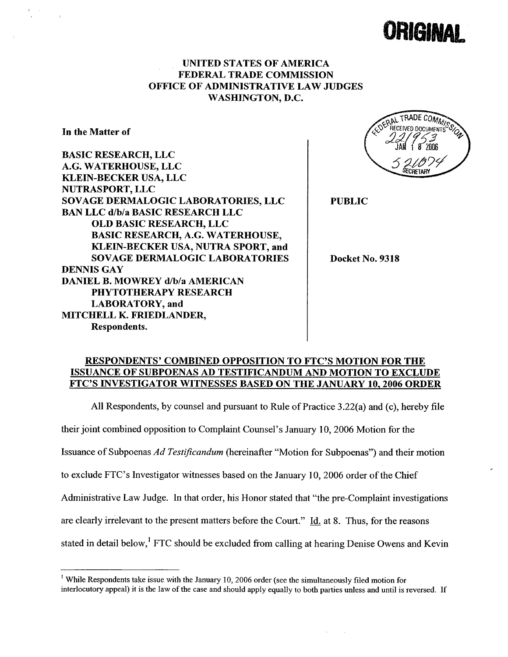

# UNITED STATES OF AMERICA FEDERAL TRADE COMMISSION OFFICE OF ADMINISTRATIVE LAW JUDGES WASHINGTON, D.C.

In the Matter of

BASIC RESEARCH, LLC A.G. WATERHOUSE, LLC KLEIN-BECKER USA, LLC NUTRASPORT, LLC SOVAGE DERMALOGIC LABORATORIES, LLC BAN LLC d/b/a BASIC RESEARCH LLC OLD BASIC RESEARCH, LLC BASIC RESEARCH, A.G. WATERHOUSE, KLEIN-BECKER USA, NUTRA SPORT, and SOVAGE DERMALOGIC LABORATORIES DENNIS GAY DANIEL B. MOWREY d/b/a AMERICAN PHYTOTHERAPY RESEARCH LABORATORY, and MITCHELL K. FRIEDLANDER, Respondents.

RADE COMM

PUBLIC

Docket No. 9318

## RESPONDENTS' COMBINED OPPOSITION TO FTC'S MOTION FOR THE ISSUANCE OF SUBPOENAS AD TESTIFICANDUM AND MOTION TO EXCLUDE FTC'S INVESTIGATOR WITNESSES BASED ON THE JANUARY 10.2006 ORDER

All Respondents, by counsel and pursuant to Rule of Practice 3.22(a) and (c), hereby file their joint combined opposition to Complaint Counsel's January i 0, 2006 Motion for the Issuance of Subpoenas Ad Testificandum (hereinafter "Motion for Subpoenas") and their motion to exclude FTC's Investigator witnesses based on the January 10,2006 order of the Chief Administrative Law Judge. In that order, his Honor stated that "the pre-Complaint investigations are clearly irrelevant to the present matters before the Court." Id. at 8. Thus, for the reasons stated in detail below,<sup>1</sup> FTC should be excluded from calling at hearing Denise Owens and Kevin

<sup>&</sup>lt;sup>1</sup> While Respondents take issue with the January 10, 2006 order (see the simultaneously filed motion for interlocutory appeal) it is the law of the case and should apply equally to both paries unless and until is reversed. If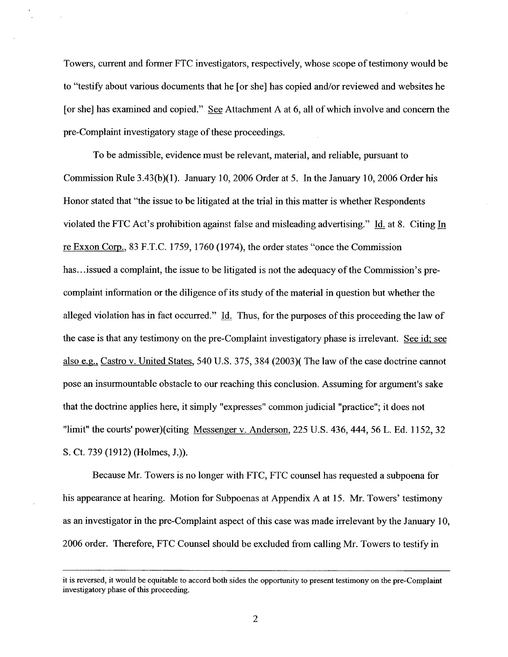Towers, current and former FTC investigators, respectively, whose scope of testimony would be to "testify about various documents that he [or she] has copied and/or reviewed and websites he [or she] has examined and copied." See Attachment A at 6, all of which involve and concern the pre-Complaint investigatory stage of these proceedings.

To be admissible, evidence must be relevant, material, and reliable, pursuant to Commission Rule 3.43(b)(1). January 10,2006 Order at 5. In the January 10, 2006 Order his Honor stated that "the issue to be litigated at the trial in this matter is whether Respondents violated the FTC Act's prohibition against false and misleading advertising." Id. at 8. Citing In re Exxon Corp., 83 F.T.C. 1759, 1760 (1974), the order states "once the Commission has... issued a complaint, the issue to be litigated is not the adequacy of the Commission's precomplaint information or the diligence of its study of the material in question but whether the alleged violation has in fact occurred." Id. Thus, for the purposes of this proceeding the law of the case is that any testimony on the pre-Complaint investigatory phase is irrelevant. See id; see also e.g.. Castro v. United States, 540 U.S. 375,384 (2003)( The law of the case doctrine cannot pose an insurmountable obstacle to our reaching this conclusion. Assuming for argument's sake that the doctrine applies here, it simply "expresses" common judicial "practice"; it does not "limit" the courts' power)(citing Messenger v. Anderson, 225 U.S. 436, 444, 56 L. Ed. 1152, 32 S. Ct. 739 (1912) (Holmes, J.)).

Because Mr. Towers is no longer with FTC, FTC counsel has requested a subpoena for his appearance at hearing. Motion for Subpoenas at Appendix A at 15. Mr. Towers' testimony as an investigator in the pre-Complaint aspect of this case was made irrelevant by the January 10, 2006 order. Therefore, FTC Counsel should be excluded from calling Mr. Towers to testify in

it is reversed, it would be equitable to accord both sides the opportnity to present testimony on the pre-Complaint investigatory phase of this proceeding.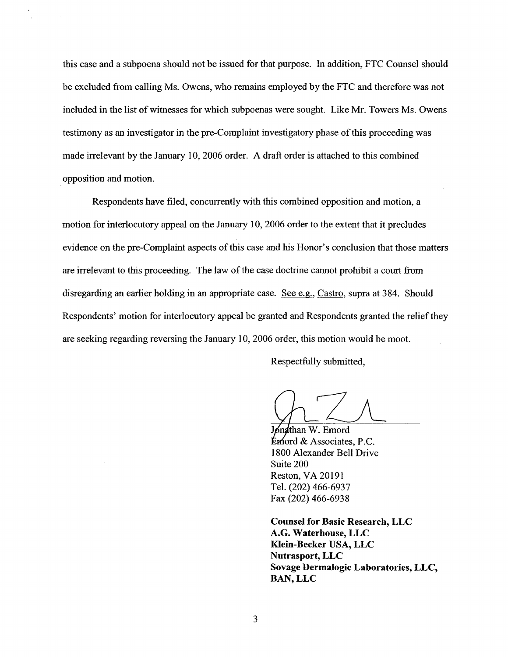this case and a subpoena should not be issued for that purpose. In addition, FTC Counsel should be excluded from calling Ms. Owens, who remains employed by the FTC and therefore was not included in the list of witnesses for which subpoenas were sought. Like Mr. Towers Ms. Owens testimony as an investigator in the pre-Complaint investigatory phase of this proceeding was made irrelevant by the January 10,2006 order. A draft order is attached to this combined opposition and motion.

Respondents have filed, concurrently with this combined opposition and motion, a motion for interlocutory appeal on the January 10, 2006 order to the extent that it precludes evidence on the pre-Complaint aspects of this case and his Honor's conclusion that those matters are irrelevant to this proceeding. The law of the case doctrine cannot prohibit a court from disregarding an earlier holding in an appropriate case. See e.g., Castro, supra at 384. Should Respondents' motion for interlocutory appeal be granted and Respondents granted the reliefthey are seeking regarding reversing the January 10,2006 order, this motion would be moot.

Respectfully submitted,

 $\frac{1}{2}$ 

Jønathan W. Emord  $\mathbf k$ mord & Associates, P.C. 1800 Alexander Bell Drive Suite 200 Reston, VA 20191 TeL. (202) 466-6937 Fax (202) 466-6938

Counsel for Basic Research, LLC A.G. Waterhouse, LLC Klein-Becker USA, LLC Nutrasport, LLC Sovage Dermalogic Laboratories, LLC, BAN, LLC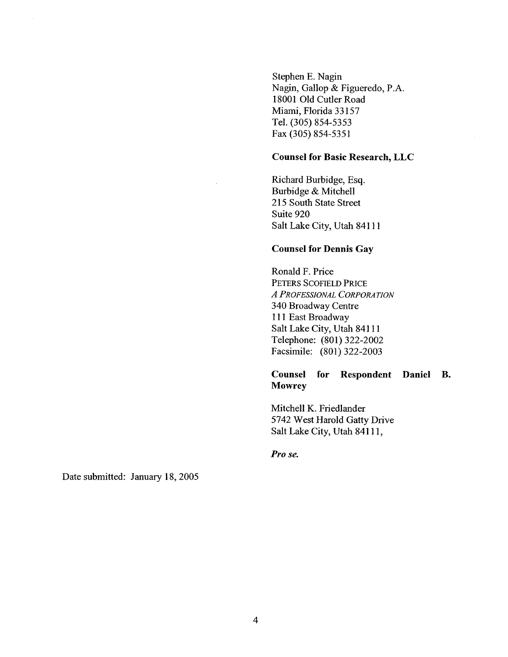Stephen E. Nagin Nagin, Gallop & Figueredo, P.A. 18001 Old Cutler Road Miami, Florida 33157 TeL. (305) 854-5353 Fax (305) 854-5351

## Counsel for Basic Research, LLC

Richard Burbidge, Esq. Burbidge & Mitchell 215 South State Street Suite 920 Salt Lake City, Utah 84111

#### Counsel for Dennis Gay

Ronald F. Price PETERS SCOFIELD PRICE A PROFESSIONAL CORPORATION 340 Broadway Centre 1 11 East Broadway Salt Lake City, Utah 84111 Telephone: (801) 322-2002 Facsimile: (801) 322-2003

# Counsel for Respondent Daniel B. **Mowrey**

Mitchell K. Friedlander 5742 West Harold Gatty Drive Salt Lake City, Utah 84111,

Pro se.

Date submitted: January 18,2005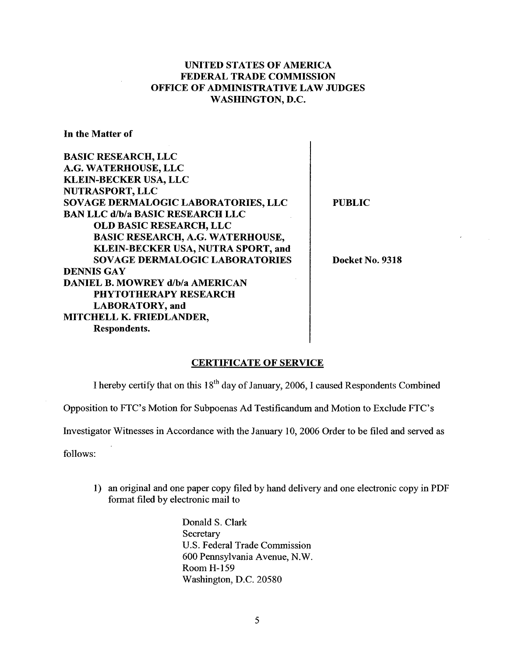# UNITED STATES OF AMERICA FEDERAL TRADE COMMISSION OFFICE OF ADMINISTRATIVE LAW JUDGES WASHINGTON, D.C.

In the Matter of

| <b>BASIC RESEARCH, LLC</b>              |  |
|-----------------------------------------|--|
| A.G. WATERHOUSE, LLC                    |  |
| <b>KLEIN-BECKER USA, LLC</b>            |  |
| <b>NUTRASPORT, LLC</b>                  |  |
| SOVAGE DERMALOGIC LABORATORIES, LLC     |  |
| <b>BAN LLC d/b/a BASIC RESEARCH LLC</b> |  |
| <b>OLD BASIC RESEARCH, LLC</b>          |  |
| <b>BASIC RESEARCH, A.G. WATERHOUSE,</b> |  |
| KLEIN-BECKER USA, NUTRA SPORT, and      |  |
| <b>SOVAGE DERMALOGIC LABORATORIES</b>   |  |
| <b>DENNIS GAY</b>                       |  |
| <b>DANIEL B. MOWREY d/b/a AMERICAN</b>  |  |
| <b>PHYTOTHERAPY RESEARCH</b>            |  |
| <b>LABORATORY</b> , and                 |  |
| MITCHELL K. FRIEDLANDER,                |  |
| Respondents.                            |  |

PUBLIC

 $\overline{\phantom{a}}$ 

Docket No. 9318

#### CERTIFICATE OF SERVICE

I hereby certify that on this  $18<sup>th</sup>$  day of January, 2006, I caused Respondents Combined

Opposition to FTC's Motion for Subpoenas Ad Testificandum and Motion to Exclude FTC's

Investigator Witnesses in Accordance with the January 10, 2006 Order to be filed and served as

follows:

1) an original and one paper copy filed by hand delivery and one electronic copy in PDF format filed by electronic mail to

> Donald S. Clark **Secretary** U.S. Federal Trade Commission 600 Pennsylvania Avenue, N.W. Room H-159 Washington, D.C. 20580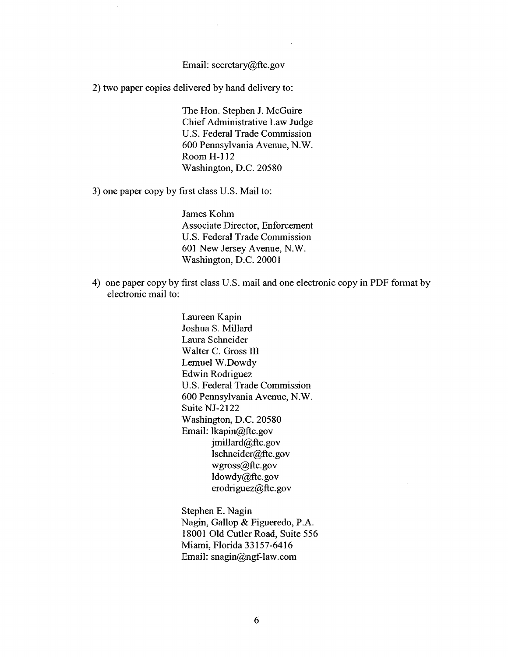Email: secretary@ftc.gov

2) two paper copies delivered by hand delivery to:

The Hon. Stephen J. McGuire Chief Administrative Law Judge u.s. Federal Trade Commission 600 Pennsylvania Avenue, N.W. Room H-1 12 Washington, D.C. 20580

3) one paper copy by first class U.S. Mail to:

James Kohm Associate Director, Enforcement U.S. Federal Trade Commission 601 New Jersey Avenue, N.W. Washington, D.C. 20001

4) one paper copy by first class U.S. mail and one electronic copy in PDF format by electronic mail to:

> Laureen Kapin Joshua S. Milard Laura Schneider Walter C. Gross III Lemuel W.Dowdy Edwin Rodriguez U.S. Federal Trade Commission 600 Pennsylvania Avenue, N.W. Suite NJ-2122 Washington, D.C. 20580 Email: lkapin@ftc.gov  $j$ millard $(a)$ ftc.gov lschneider@ftc.gov wgross@ftc.gov ldowdy@ftc.gov erodriguez@ftc.gov

Stephen E. Nagin Nagin, Gallop & Figueredo, P.A. 18001 Old Cutler Road, Suite 556 Miami, Florida 33157-6416 Email: snagin@ngf-law.com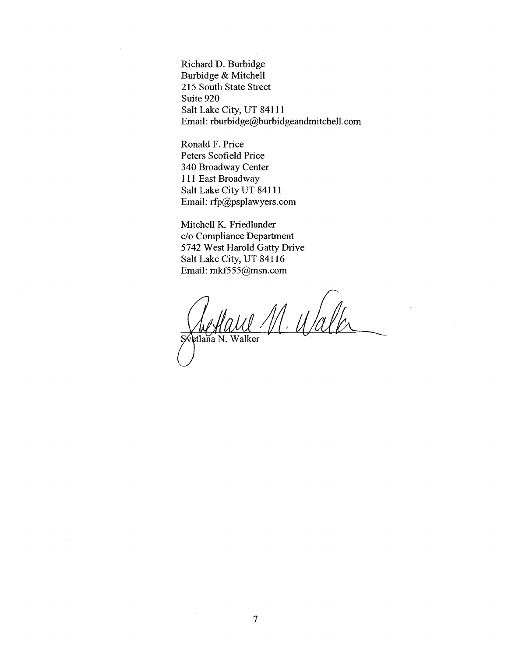Richard D. Burbidge Burbidge & Mitchell 215 South State Street Suite 920 Salt Lake City, UT 841 1 1 Email: rburbidge@burbidgeandmitchell.com

Ronald F. Price Peters Scofield Price 340 Broadway Center 111 East Broadway Salt Lake City UT 84111 Email: rfp@psplawyers.com

Mitchell K. Friedlander c/o Compliance Department 5742 West Harold Gatty Drive Salt Lake City, UT 841 16 Email: mkf555@msn.com

Reflaul M. Walk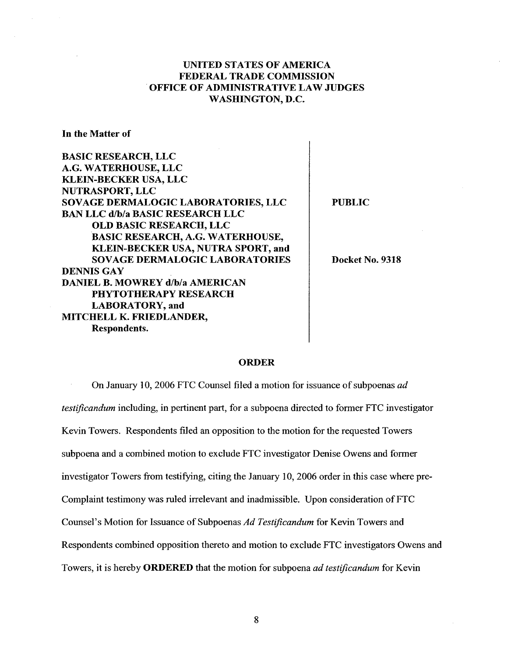# UNITED STATES OF AMERICA FEDERAL TRADE COMMISSION . OFFICE OF ADMINISTRATIVE LAW JUDGES WASHINGTON, D.C.

In the Matter of

BASIC RESEARCH, LLC A.G. WATERHOUSE, LLC KLEIN-BECKER USA, LLC NUTRASPORT, LLC SOVAGE DERMALOGIC LABORATORIES, LLC BAN LLC d/b/a BASIC RESEARCH LLC OLD BASIC RESEARCH, LLC BASIC RESEARCH, A.G. WATERHOUSE, KLEIN-BECKER USA, NUTRA SPORT, and SOVAGE DERMALOGIC LABORATORIES DENNIS GAY DANIEL B. MOWREY d/b/a AMERICAN PHYTOTHERAPY RESEARCH LABORATORY, and MITCHELL K. FRIEDLANDER, Respondents.

PUBLIC

Docket No. 9318

#### ORDER

On January 10, 2006 FTC Counsel filed a motion for issuance of subpoenas ad testificandum including, in pertinent part, for a subpoena directed to former FTC investigator Kevin Towers. Respondents filed an opposition to the motion for the requested Towers subpoena and a combined motion to exclude FTC investigator Denise Owens and former investigator Towers from testifying, citing the January 10, 2006 order in this case where pre-Complaint testimony was ruled irrelevant and inadmissible. Upon consideration of FTC Counsel's Motion for Issuance of Subpoenas Ad Testificandum for Kevin Towers and Respondents combined opposition thereto and motion to exclude FTC investigators Owens and Towers, it is hereby ORDERED that the motion for subpoena *ad testificandum* for Kevin